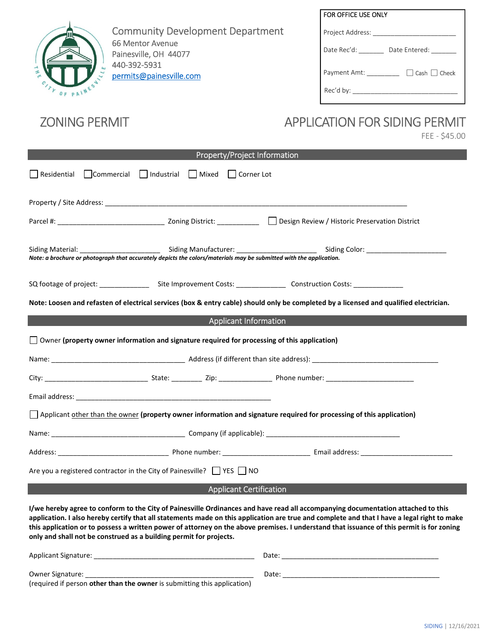

Community Development Department 66 Mentor Avenue Painesville, OH 44077 440-392-5931 [permits@painesville.com](mailto: permits@painesville.com)

| FOR OFFICE USE ONLY                      |
|------------------------------------------|
| Project Address:                         |
| Date Rec'd:<br>Date Entered:             |
| $\Box$ Cash $\Box$ Check<br>Payment Amt: |
| Rec'd by:                                |

## ZONING PERMIT APPLICATION FOR SIDING PERMIT

FEE - \$45.00

| Property/Project Information                                                                                                                                                                                           |  |                                                                                                                       |                                                                                  |                                                                                                                                  |  |  |  |
|------------------------------------------------------------------------------------------------------------------------------------------------------------------------------------------------------------------------|--|-----------------------------------------------------------------------------------------------------------------------|----------------------------------------------------------------------------------|----------------------------------------------------------------------------------------------------------------------------------|--|--|--|
|                                                                                                                                                                                                                        |  |                                                                                                                       | Residential Commercial Industrial Mixed Corner Lot                               |                                                                                                                                  |  |  |  |
|                                                                                                                                                                                                                        |  |                                                                                                                       |                                                                                  |                                                                                                                                  |  |  |  |
|                                                                                                                                                                                                                        |  |                                                                                                                       |                                                                                  |                                                                                                                                  |  |  |  |
| Siding Material: Siding Manufacturer: Siding Manufacturer Siding Color: Siding Color: Siding Color: Note: a brochure or photograph that accurately depicts the colors/materials may be submitted with the application. |  |                                                                                                                       |                                                                                  |                                                                                                                                  |  |  |  |
|                                                                                                                                                                                                                        |  |                                                                                                                       |                                                                                  |                                                                                                                                  |  |  |  |
| Note: Loosen and refasten of electrical services (box & entry cable) should only be completed by a licensed and qualified electrician.                                                                                 |  |                                                                                                                       |                                                                                  |                                                                                                                                  |  |  |  |
|                                                                                                                                                                                                                        |  |                                                                                                                       | <b>Applicant Information</b>                                                     |                                                                                                                                  |  |  |  |
|                                                                                                                                                                                                                        |  |                                                                                                                       |                                                                                  | $\Box$ Owner (property owner information and signature required for processing of this application)                              |  |  |  |
|                                                                                                                                                                                                                        |  |                                                                                                                       |                                                                                  |                                                                                                                                  |  |  |  |
|                                                                                                                                                                                                                        |  |                                                                                                                       |                                                                                  |                                                                                                                                  |  |  |  |
|                                                                                                                                                                                                                        |  |                                                                                                                       |                                                                                  |                                                                                                                                  |  |  |  |
|                                                                                                                                                                                                                        |  |                                                                                                                       |                                                                                  | Applicant other than the owner (property owner information and signature required for processing of this application)            |  |  |  |
|                                                                                                                                                                                                                        |  |                                                                                                                       |                                                                                  |                                                                                                                                  |  |  |  |
|                                                                                                                                                                                                                        |  |                                                                                                                       |                                                                                  |                                                                                                                                  |  |  |  |
|                                                                                                                                                                                                                        |  |                                                                                                                       | Are you a registered contractor in the City of Painesville? $\Box$ YES $\Box$ NO |                                                                                                                                  |  |  |  |
|                                                                                                                                                                                                                        |  | <u> 1989 - An Dùbhlachd an Dùbhlachd an Dùbhlachd an Dùbhlachd an Dùbhlachd an Dùbhlachd an Dùbhlachd an Dùbhlach</u> | <b>Applicant Certification</b>                                                   |                                                                                                                                  |  |  |  |
|                                                                                                                                                                                                                        |  |                                                                                                                       |                                                                                  | I/we hereby agree to conform to the City of Painesville Ordinances and have read all accompanying documentation attached to this |  |  |  |

**application. I also hereby certify that all statements made on this application are true and complete and that I have a legal right to make this application or to possess a written power of attorney on the above premises. I understand that issuance of this permit is for zoning only and shall not be construed as a building permit for projects.** 

| Applicant Signature:                                                     | Date: |
|--------------------------------------------------------------------------|-------|
| <b>Owner Signature:</b>                                                  | Date: |
| (required if person other than the owner is submitting this application) |       |